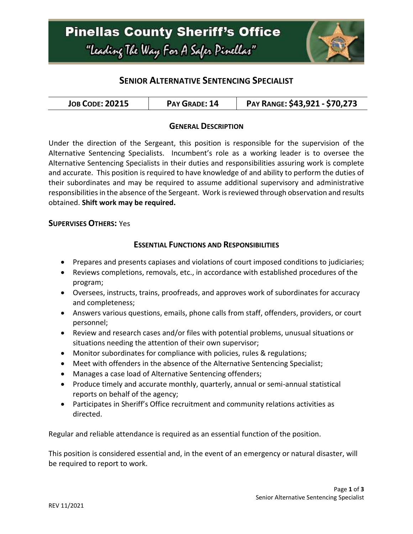## **Pinellas County Sheriff's Office** "Leading The Way For A Safer Pinellar"



### **SENIOR ALTERNATIVE SENTENCING SPECIALIST**

| <b>JOB CODE: 20215</b> | PAY GRADE: 14 | PAY RANGE: \$43,921 - \$70,273 |
|------------------------|---------------|--------------------------------|
|------------------------|---------------|--------------------------------|

#### **GENERAL DESCRIPTION**

Under the direction of the Sergeant, this position is responsible for the supervision of the Alternative Sentencing Specialists. Incumbent's role as a working leader is to oversee the Alternative Sentencing Specialists in their duties and responsibilities assuring work is complete and accurate. This position is required to have knowledge of and ability to perform the duties of their subordinates and may be required to assume additional supervisory and administrative responsibilities in the absence of the Sergeant. Work is reviewed through observation and results obtained. **Shift work may be required.**

#### **SUPERVISES OTHERS:** Yes

### **ESSENTIAL FUNCTIONS AND RESPONSIBILITIES**

- Prepares and presents capiases and violations of court imposed conditions to judiciaries;
- Reviews completions, removals, etc., in accordance with established procedures of the program;
- Oversees, instructs, trains, proofreads, and approves work of subordinates for accuracy and completeness;
- Answers various questions, emails, phone calls from staff, offenders, providers, or court personnel;
- Review and research cases and/or files with potential problems, unusual situations or situations needing the attention of their own supervisor;
- Monitor subordinates for compliance with policies, rules & regulations;
- Meet with offenders in the absence of the Alternative Sentencing Specialist;
- Manages a case load of Alternative Sentencing offenders;
- Produce timely and accurate monthly, quarterly, annual or semi-annual statistical reports on behalf of the agency;
- Participates in Sheriff's Office recruitment and community relations activities as directed.

Regular and reliable attendance is required as an essential function of the position.

This position is considered essential and, in the event of an emergency or natural disaster, will be required to report to work.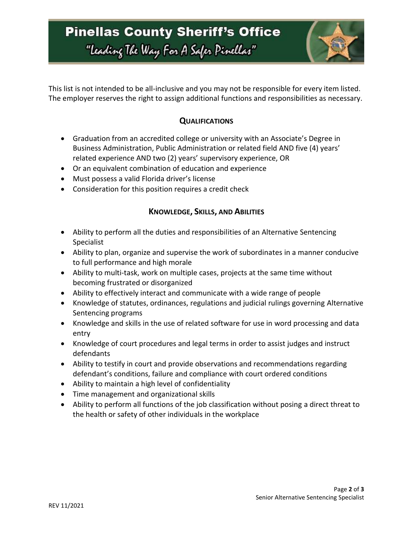## **Pinellas County Sheriff's Office** "Leading The Way For A Safer Pinellar"



This list is not intended to be all-inclusive and you may not be responsible for every item listed. The employer reserves the right to assign additional functions and responsibilities as necessary.

### **QUALIFICATIONS**

- Graduation from an accredited college or university with an Associate's Degree in Business Administration, Public Administration or related field AND five (4) years' related experience AND two (2) years' supervisory experience, OR
- Or an equivalent combination of education and experience
- Must possess a valid Florida driver's license
- Consideration for this position requires a credit check

### **KNOWLEDGE, SKILLS, AND ABILITIES**

- Ability to perform all the duties and responsibilities of an Alternative Sentencing Specialist
- Ability to plan, organize and supervise the work of subordinates in a manner conducive to full performance and high morale
- Ability to multi-task, work on multiple cases, projects at the same time without becoming frustrated or disorganized
- Ability to effectively interact and communicate with a wide range of people
- Knowledge of statutes, ordinances, regulations and judicial rulings governing Alternative Sentencing programs
- Knowledge and skills in the use of related software for use in word processing and data entry
- Knowledge of court procedures and legal terms in order to assist judges and instruct defendants
- Ability to testify in court and provide observations and recommendations regarding defendant's conditions, failure and compliance with court ordered conditions
- Ability to maintain a high level of confidentiality
- Time management and organizational skills
- Ability to perform all functions of the job classification without posing a direct threat to the health or safety of other individuals in the workplace